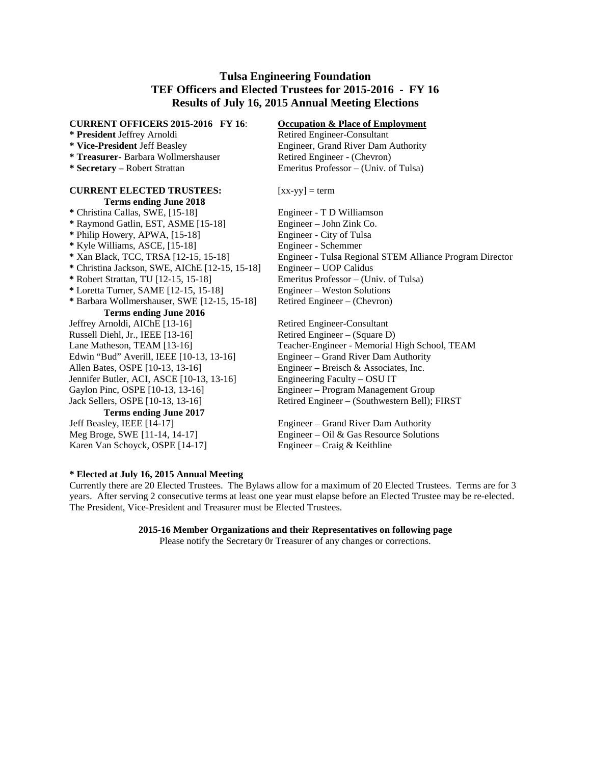## **Tulsa Engineering Foundation TEF Officers and Elected Trustees for 2015-2016 - FY 16 Results of July 16, 2015 Annual Meeting Elections**

### **CURRENT OFFICERS 2015-2016 FY 16**: **Occupation & Place of Employment \* President** Jeffrey Arnoldi Retired Engineer-Consultant **\* Vice-President** Jeff Beasley Engineer, Grand River Dam Authority **\* Treasurer-** Barbara Wollmershauser Retired Engineer - (Chevron) **\* Secretary –** Robert Strattan Emeritus Professor – (Univ. of Tulsa) **CURRENT ELECTED TRUSTEES:** [xx-yy] = term **Terms ending June 2018** \* Christina Callas, SWE, [15-18] Engineer - T D Williamson<br>
\* Raymond Gatlin, EST, ASME [15-18] Engineer - John Zink Co.  $*$  Raymond Gatlin, EST, ASME [15-18] **\*** Philip Howery, APWA, [15-18] Engineer - City of Tulsa **\*** Kyle Williams, ASCE, [15-18] Engineer - Schemmer **\*** Xan Black, TCC, TRSA [12-15, 15-18] Engineer - Tulsa Regional STEM Alliance Program Director **\*** Christina Jackson, SWE, AIChE [12-15, 15-18] Engineer – UOP Calidus **\*** Robert Strattan, TU [12-15, 15-18] Emeritus Professor – (Univ. of Tulsa) **\*** Loretta Turner, SAME [12-15, 15-18] Engineer – Weston Solutions **\*** Barbara Wollmershauser, SWE [12-15, 15-18] Retired Engineer – (Chevron) **Terms ending June 2016** Jeffrey Arnoldi, AIChE [13-16]<br>
Retired Engineer-Consultant<br>
Retired Engineer – (Square D) Russell Diehl, Jr., IEEE [13-16] Lane Matheson, TEAM [13-16] Teacher-Engineer - Memorial High School, TEAM Edwin "Bud" Averill, IEEE [10-13, 13-16] Engineer – Grand River Dam Authority Allen Bates, OSPE [10-13, 13-16] Engineer – Breisch & Associates, Inc. Jennifer Butler*,* ACI, ASCE [10-13, 13-16] Engineering Faculty – OSU IT Gaylon Pinc, OSPE [10-13, 13-16] Engineer – Program Management Group Jack Sellers, OSPE [10-13, 13-16] Retired Engineer – (Southwestern Bell); FIRST **Terms ending June 2017** Jeff Beasley, IEEE [14-17] Engineer – Grand River Dam Authority Meg Broge, SWE [11-14, 14-17] Engineer – Oil & Gas Resource Solutions Karen Van Schoyck, OSPE [14-17] Engineer – Craig & Keithline

#### **\* Elected at July 16, 2015 Annual Meeting**

Currently there are 20 Elected Trustees. The Bylaws allow for a maximum of 20 Elected Trustees. Terms are for 3 years. After serving 2 consecutive terms at least one year must elapse before an Elected Trustee may be re-elected. The President, Vice-President and Treasurer must be Elected Trustees.

#### **2015-16 Member Organizations and their Representatives on following page**

Please notify the Secretary 0r Treasurer of any changes or corrections.